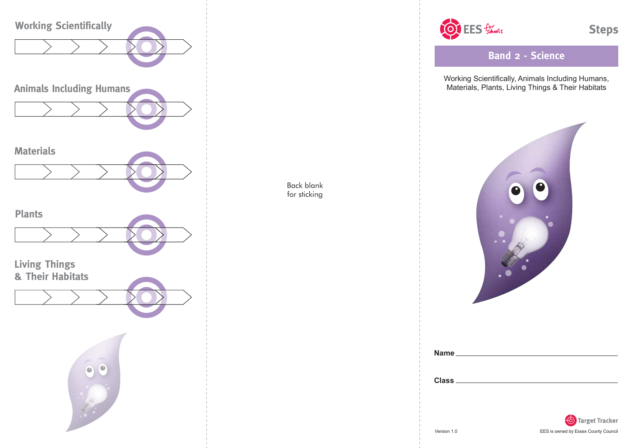

OF EES formoots

**Steps** 

**Band 2 - Science**

Working Scientifically, Animals Including Humans, Materials, Plants, Living Things & Their Habitats





Back blank for sticking